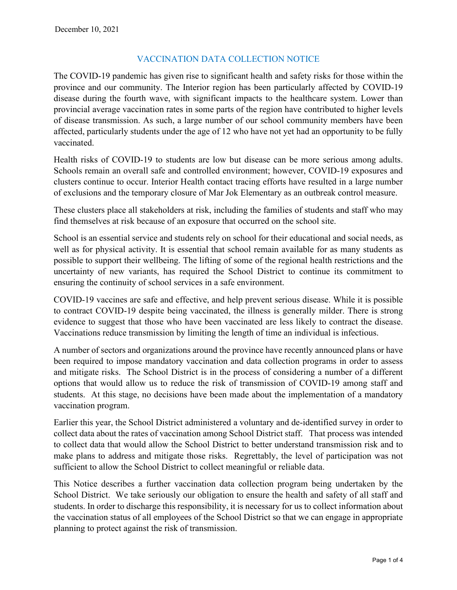# VACCINATION DATA COLLECTION NOTICE

The COVID-19 pandemic has given rise to significant health and safety risks for those within the province and our community. The Interior region has been particularly affected by COVID-19 disease during the fourth wave, with significant impacts to the healthcare system. Lower than provincial average vaccination rates in some parts of the region have contributed to higher levels of disease transmission. As such, a large number of our school community members have been affected, particularly students under the age of 12 who have not yet had an opportunity to be fully vaccinated.

Health risks of COVID-19 to students are low but disease can be more serious among adults. Schools remain an overall safe and controlled environment; however, COVID-19 exposures and clusters continue to occur. Interior Health contact tracing efforts have resulted in a large number of exclusions and the temporary closure of Mar Jok Elementary as an outbreak control measure.

These clusters place all stakeholders at risk, including the families of students and staff who may find themselves at risk because of an exposure that occurred on the school site.

School is an essential service and students rely on school for their educational and social needs, as well as for physical activity. It is essential that school remain available for as many students as possible to support their wellbeing. The lifting of some of the regional health restrictions and the uncertainty of new variants, has required the School District to continue its commitment to ensuring the continuity of school services in a safe environment.

COVID-19 vaccines are safe and effective, and help prevent serious disease. While it is possible to contract COVID-19 despite being vaccinated, the illness is generally milder. There is strong evidence to suggest that those who have been vaccinated are less likely to contract the disease. Vaccinations reduce transmission by limiting the length of time an individual is infectious.

A number of sectors and organizations around the province have recently announced plans or have been required to impose mandatory vaccination and data collection programs in order to assess and mitigate risks. The School District is in the process of considering a number of a different options that would allow us to reduce the risk of transmission of COVID-19 among staff and students. At this stage, no decisions have been made about the implementation of a mandatory vaccination program.

Earlier this year, the School District administered a voluntary and de-identified survey in order to collect data about the rates of vaccination among School District staff. That process was intended to collect data that would allow the School District to better understand transmission risk and to make plans to address and mitigate those risks. Regrettably, the level of participation was not sufficient to allow the School District to collect meaningful or reliable data.

This Notice describes a further vaccination data collection program being undertaken by the School District. We take seriously our obligation to ensure the health and safety of all staff and students. In order to discharge this responsibility, it is necessary for us to collect information about the vaccination status of all employees of the School District so that we can engage in appropriate planning to protect against the risk of transmission.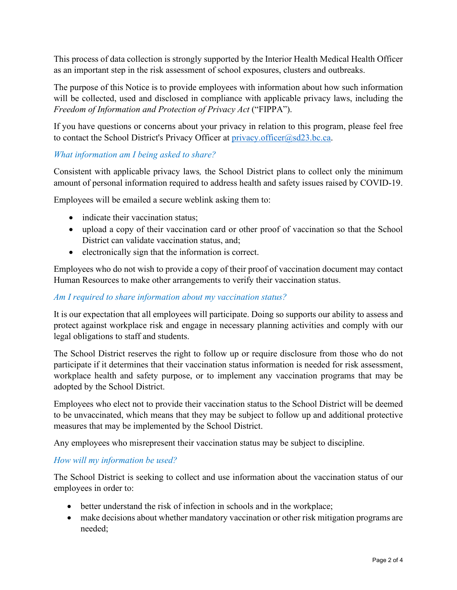This process of data collection is strongly supported by the Interior Health Medical Health Officer as an important step in the risk assessment of school exposures, clusters and outbreaks.

The purpose of this Notice is to provide employees with information about how such information will be collected, used and disclosed in compliance with applicable privacy laws, including the *Freedom of Information and Protection of Privacy Act* ("FIPPA").

If you have questions or concerns about your privacy in relation to this program, please feel free to contact the School District's Privacy Officer at [privacy.officer@sd23.bc.ca.](mailto:privacy.officer@sd23.bc.ca)

## *What information am I being asked to share?*

Consistent with applicable privacy laws*,* the School District plans to collect only the minimum amount of personal information required to address health and safety issues raised by COVID-19.

Employees will be emailed a secure weblink asking them to:

- indicate their vaccination status;
- upload a copy of their vaccination card or other proof of vaccination so that the School District can validate vaccination status, and;
- electronically sign that the information is correct.

Employees who do not wish to provide a copy of their proof of vaccination document may contact Human Resources to make other arrangements to verify their vaccination status.

## *Am I required to share information about my vaccination status?*

It is our expectation that all employees will participate. Doing so supports our ability to assess and protect against workplace risk and engage in necessary planning activities and comply with our legal obligations to staff and students.

The School District reserves the right to follow up or require disclosure from those who do not participate if it determines that their vaccination status information is needed for risk assessment, workplace health and safety purpose, or to implement any vaccination programs that may be adopted by the School District.

Employees who elect not to provide their vaccination status to the School District will be deemed to be unvaccinated, which means that they may be subject to follow up and additional protective measures that may be implemented by the School District.

Any employees who misrepresent their vaccination status may be subject to discipline.

## *How will my information be used?*

The School District is seeking to collect and use information about the vaccination status of our employees in order to:

- better understand the risk of infection in schools and in the workplace;
- make decisions about whether mandatory vaccination or other risk mitigation programs are needed;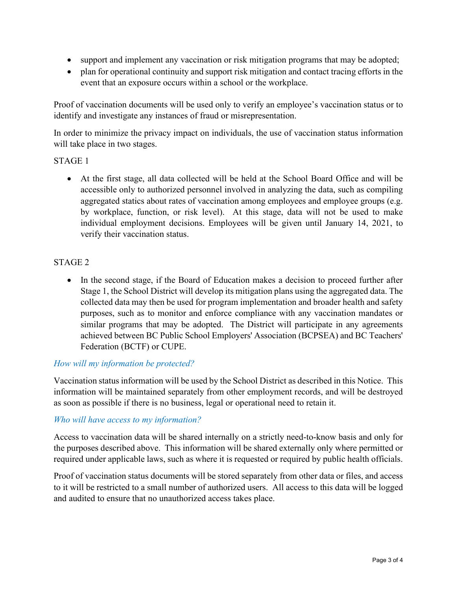- support and implement any vaccination or risk mitigation programs that may be adopted;
- plan for operational continuity and support risk mitigation and contact tracing efforts in the event that an exposure occurs within a school or the workplace.

Proof of vaccination documents will be used only to verify an employee's vaccination status or to identify and investigate any instances of fraud or misrepresentation.

In order to minimize the privacy impact on individuals, the use of vaccination status information will take place in two stages.

## STAGE 1

• At the first stage, all data collected will be held at the School Board Office and will be accessible only to authorized personnel involved in analyzing the data, such as compiling aggregated statics about rates of vaccination among employees and employee groups (e.g. by workplace, function, or risk level). At this stage, data will not be used to make individual employment decisions. Employees will be given until January 14, 2021, to verify their vaccination status.

## STAGE 2

• In the second stage, if the Board of Education makes a decision to proceed further after Stage 1, the School District will develop its mitigation plans using the aggregated data. The collected data may then be used for program implementation and broader health and safety purposes, such as to monitor and enforce compliance with any vaccination mandates or similar programs that may be adopted. The District will participate in any agreements achieved between BC Public School Employers' Association (BCPSEA) and BC Teachers' Federation (BCTF) or CUPE.

#### *How will my information be protected?*

Vaccination status information will be used by the School District as described in this Notice. This information will be maintained separately from other employment records, and will be destroyed as soon as possible if there is no business, legal or operational need to retain it.

#### *Who will have access to my information?*

Access to vaccination data will be shared internally on a strictly need-to-know basis and only for the purposes described above. This information will be shared externally only where permitted or required under applicable laws, such as where it is requested or required by public health officials.

Proof of vaccination status documents will be stored separately from other data or files, and access to it will be restricted to a small number of authorized users. All access to this data will be logged and audited to ensure that no unauthorized access takes place.